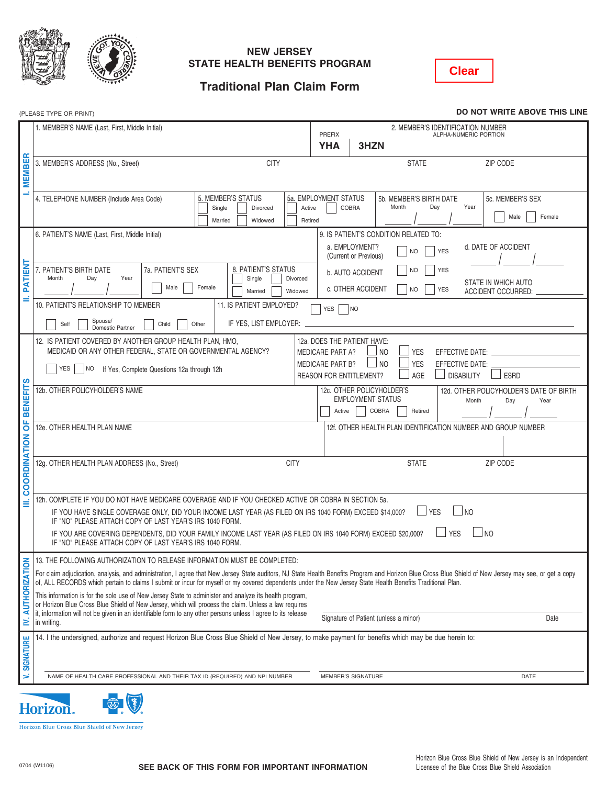



#### **NEW JERSEY STATE HEALTH BENEFITS PROGRAM**

**Clear**

# **Traditional Plan Claim Form**

(PLEASE TYPE OR PRINT) **DO NOT WRITE ABOVE THIS LINE**

|                                                                                                                                                     | 1. MEMBER'S NAME (Last, First, Middle Initial)                                                                                                                                                                                                                                                                                                                       | 2. MEMBER'S IDENTIFICATION NUMBER<br><b>PREFIX</b><br>ALPHA-NUMERIC PORTION<br>3HZN<br><b>YHA</b> |  |
|-----------------------------------------------------------------------------------------------------------------------------------------------------|----------------------------------------------------------------------------------------------------------------------------------------------------------------------------------------------------------------------------------------------------------------------------------------------------------------------------------------------------------------------|---------------------------------------------------------------------------------------------------|--|
| ш                                                                                                                                                   | <b>CITY</b><br>3. MEMBER'S ADDRESS (No., Street)                                                                                                                                                                                                                                                                                                                     | <b>STATE</b><br><b>ZIP CODE</b>                                                                   |  |
| EMBI                                                                                                                                                |                                                                                                                                                                                                                                                                                                                                                                      |                                                                                                   |  |
|                                                                                                                                                     |                                                                                                                                                                                                                                                                                                                                                                      |                                                                                                   |  |
|                                                                                                                                                     | 5. MEMBER'S STATUS<br>4. TELEPHONE NUMBER (Include Area Code)                                                                                                                                                                                                                                                                                                        | 5a. EMPLOYMENT STATUS<br>5b. MEMBER'S BIRTH DATE<br>5c. MEMBER'S SEX                              |  |
|                                                                                                                                                     | Single<br>Divorced<br>Active                                                                                                                                                                                                                                                                                                                                         | Month<br>Year<br>Day<br>COBRA<br>Male<br>Female                                                   |  |
|                                                                                                                                                     | Married<br>Widowed<br>Retired                                                                                                                                                                                                                                                                                                                                        |                                                                                                   |  |
|                                                                                                                                                     | 6. PATIENT'S NAME (Last, First, Middle Initial)                                                                                                                                                                                                                                                                                                                      | 9. IS PATIENT'S CONDITION RELATED TO:                                                             |  |
|                                                                                                                                                     |                                                                                                                                                                                                                                                                                                                                                                      | a. EMPLOYMENT?<br>d. DATE OF ACCIDENT<br><b>NO</b><br><b>YES</b><br>(Current or Previous)         |  |
| 즒                                                                                                                                                   | 8. PATIENT'S STATUS<br>7a. PATIENT'S SEX<br>7. PATIENT'S BIRTH DATE                                                                                                                                                                                                                                                                                                  | <b>NO</b><br>YES                                                                                  |  |
| <b>FATI</b>                                                                                                                                         | Month<br>Day<br>Year<br>Single<br>Divorced                                                                                                                                                                                                                                                                                                                           | b. AUTO ACCIDENT<br>STATE IN WHICH AUTO                                                           |  |
|                                                                                                                                                     | Male<br>Female<br>Married<br>Widowed                                                                                                                                                                                                                                                                                                                                 | c. OTHER ACCIDENT<br><b>YES</b><br><b>NO</b><br>ACCIDENT OCCURRED:                                |  |
|                                                                                                                                                     | 11. IS PATIENT EMPLOYED?<br>10. PATIENT'S RELATIONSHIP TO MEMBER                                                                                                                                                                                                                                                                                                     | <b>YES</b><br>NO                                                                                  |  |
|                                                                                                                                                     | Spouse/<br>IF YES, LIST EMPLOYER:<br>Other<br>Self<br>Child                                                                                                                                                                                                                                                                                                          |                                                                                                   |  |
|                                                                                                                                                     | Domestic Partner                                                                                                                                                                                                                                                                                                                                                     |                                                                                                   |  |
|                                                                                                                                                     | 12. IS PATIENT COVERED BY ANOTHER GROUP HEALTH PLAN, HMO,<br>MEDICAID OR ANY OTHER FEDERAL, STATE OR GOVERNMENTAL AGENCY?                                                                                                                                                                                                                                            | 12a. DOES THE PATIENT HAVE:<br><b>YES</b><br><b>MEDICARE PART A?</b><br>NO<br>EFFECTIVE DATE:     |  |
|                                                                                                                                                     |                                                                                                                                                                                                                                                                                                                                                                      | N <sub>O</sub><br><b>YES</b><br><b>MEDICARE PART B?</b><br>EFFECTIVE DATE:                        |  |
|                                                                                                                                                     | <b>YES</b><br> NO<br>If Yes, Complete Questions 12a through 12h                                                                                                                                                                                                                                                                                                      | AGE<br><b>DISABILITY</b><br><b>ESRD</b><br><b>REASON FOR ENTITLEMENT?</b>                         |  |
|                                                                                                                                                     | 12b. OTHER POLICYHOLDER'S NAME                                                                                                                                                                                                                                                                                                                                       | 12c. OTHER POLICYHOLDER'S<br>12d. OTHER POLICYHOLDER'S DATE OF BIRTH                              |  |
| BENEFIT                                                                                                                                             |                                                                                                                                                                                                                                                                                                                                                                      | <b>EMPLOYMENT STATUS</b><br>Month<br>Day<br>Year                                                  |  |
|                                                                                                                                                     |                                                                                                                                                                                                                                                                                                                                                                      | <b>COBRA</b><br>Retired<br>Active                                                                 |  |
| ō                                                                                                                                                   | 12e. OTHER HEALTH PLAN NAME                                                                                                                                                                                                                                                                                                                                          | 12f. OTHER HEALTH PLAN IDENTIFICATION NUMBER AND GROUP NUMBER                                     |  |
| COORDINATION                                                                                                                                        |                                                                                                                                                                                                                                                                                                                                                                      |                                                                                                   |  |
|                                                                                                                                                     | <b>CITY</b><br>12g. OTHER HEALTH PLAN ADDRESS (No., Street)                                                                                                                                                                                                                                                                                                          | <b>STATE</b><br>ZIP CODE                                                                          |  |
|                                                                                                                                                     |                                                                                                                                                                                                                                                                                                                                                                      |                                                                                                   |  |
|                                                                                                                                                     |                                                                                                                                                                                                                                                                                                                                                                      |                                                                                                   |  |
|                                                                                                                                                     | 12h. COMPLETE IF YOU DO NOT HAVE MEDICARE COVERAGE AND IF YOU CHECKED ACTIVE OR COBRA IN SECTION 5a.                                                                                                                                                                                                                                                                 |                                                                                                   |  |
|                                                                                                                                                     | $\Box$ NO<br><b>YES</b><br>IF YOU HAVE SINGLE COVERAGE ONLY, DID YOUR INCOME LAST YEAR (AS FILED ON IRS 1040 FORM) EXCEED \$14,000?<br>IF "NO" PLEASE ATTACH COPY OF LAST YEAR'S IRS 1040 FORM.                                                                                                                                                                      |                                                                                                   |  |
|                                                                                                                                                     | IF YOU ARE COVERING DEPENDENTS, DID YOUR FAMILY INCOME LAST YEAR (AS FILED ON IRS 1040 FORM) EXCEED \$20,000?<br>IF "NO" PLEASE ATTACH COPY OF LAST YEAR'S IRS 1040 FORM.                                                                                                                                                                                            | N <sub>O</sub><br>$\perp$ YES                                                                     |  |
|                                                                                                                                                     | 13. THE FOLLOWING AUTHORIZATION TO RELEASE INFORMATION MUST BE COMPLETED:                                                                                                                                                                                                                                                                                            |                                                                                                   |  |
| $\overline{1}$                                                                                                                                      | For claim adjudication, analysis, and administration, I agree that New Jersey State auditors, NJ State Health Benefits Program and Horizon Blue Cross Blue Shield of New Jersey may see, or get a copy<br>of, ALL RECORDS which pertain to claims I submit or incur for myself or my covered dependents under the New Jersey State Health Benefits Traditional Plan. |                                                                                                   |  |
| ᅗ                                                                                                                                                   | This information is for the sole use of New Jersey State to administer and analyze its health program,                                                                                                                                                                                                                                                               |                                                                                                   |  |
|                                                                                                                                                     | or Horizon Blue Cross Blue Shield of New Jersey, which will process the claim. Unless a law requires<br>it, information will not be given in an identifiable form to any other persons unless I agree to its release                                                                                                                                                 |                                                                                                   |  |
| ≥                                                                                                                                                   | in writing.                                                                                                                                                                                                                                                                                                                                                          | Signature of Patient (unless a minor)<br>Date                                                     |  |
| 14. I the undersigned, authorize and request Horizon Blue Cross Blue Shield of New Jersey, to make payment for benefits which may be due herein to: |                                                                                                                                                                                                                                                                                                                                                                      |                                                                                                   |  |
|                                                                                                                                                     |                                                                                                                                                                                                                                                                                                                                                                      |                                                                                                   |  |
| V. SIGNATURE                                                                                                                                        |                                                                                                                                                                                                                                                                                                                                                                      |                                                                                                   |  |
|                                                                                                                                                     | NAME OF HEALTH CARE PROFESSIONAL AND THEIR TAX ID (REQUIRED) AND NPI NUMBER                                                                                                                                                                                                                                                                                          | MEMBER'S SIGNATURE<br>DATE                                                                        |  |
|                                                                                                                                                     |                                                                                                                                                                                                                                                                                                                                                                      |                                                                                                   |  |



Horizon Blue Cross Blue Shield of New Jersey